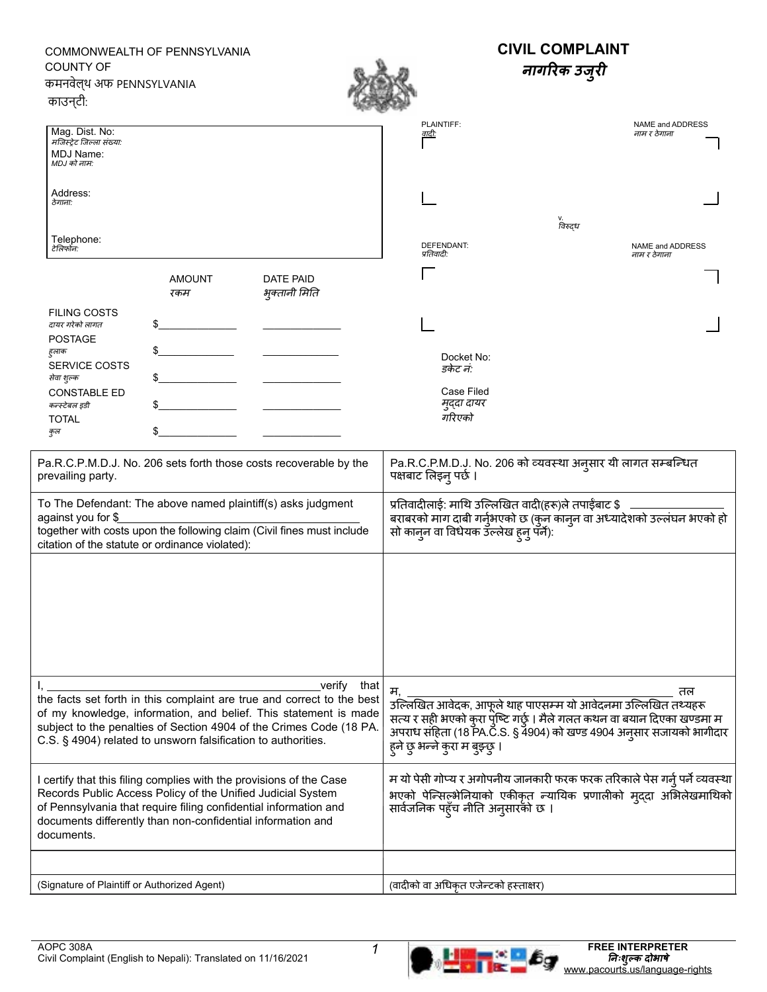## $\frac{1}{2}$ \$\_\_\_\_\_\_\_\_\_\_\_\_\_\_ \_\_\_\_\_\_\_\_\_\_\_\_\_\_  $\frac{1}{2}$  $\frac{1}{2}$  $\frac{1}{2}$ Mag. Dist. No: मजिस्ट्रेट जिल्ला संख्या*:* MDJ Name: *MDJ* को नाम*:* Address: ठेगाना*:* Telephone: टेलिफोन*:* **CIVIL COMPLAINT नागरिक उजरुी** NAME and ADDRESS नाम र ठेगाना PLAINTIFF: वादी*:* **AMOUNT** रकम FILING COSTS दायर गरेको लागत POSTAGE हु लाक SERVICE COSTS सेवा शुल्क CONSTABLE ED कन्स्टेबल इडी TOTAL कुल DATE PAID भकु्तानी मिति Pa.R.C.P.M.D.J. No. 206 sets forth those costs recoverable by the prevailing party. To The Defendant: The above named plaintiff(s) asks judgment against you for \$ together with costs upon the following claim (Civil fines must include citation of the statute or ordinance violated): प्रतिवादीलाई: माथि उल्लिखित वादी(हरू)ले तपाईंबाट \$ बराबरको माग दाबी गर्नुभएको छ (कुन कान्न वा अध्यादेशको उल्लंघन भएको हो सो कानुन वा विधेयक उल्लेख हुनु पर्ने): Pa.R.C.P.M.D.J. No. 206 को व्यवस्था अनु सार यी लागत सम्बन्धित पक्षबाट लिइनुपर्छ । म, तल उल्लिखित आवेदक, आफूले थाह पाएसम्म यो आवेदनमा उल्लिखित तथ्यहरू सत्य र सही भएको कुरा पुष्टि गछु । मैले गलत कथन वा बयान दिएका खण्डमा म अपराध संहिता (18 PA.C.S. § 4904) को खण्ड 4904 अनुसार सजायको भागीदार हुने छु भन्ने कुरा म बुझ्छु । I, verify that the facts set forth in this complaint are true and correct to the best of my knowledge, information, and belief. This statement is made subject to the penalties of Section 4904 of the Crimes Code (18 PA. C.S. § 4904) related to unsworn falsification to authorities. I certify that this filing complies with the provisions of the Case Records Public Access Policy of the Unified Judicial System of Pennsylvania that require filing confidential information and documents differently than non-confidential information and documents. म यो पेसी गोप्य र अगोपनीय जानकारी फरक फरक तरिकालेपेस गर्नुपर्नेव्यवस्था भएको पेन्सिल्नभेियाको एकीकृत न्यायिक प्रणालीको मदु्दा अभिलखे माथिको सार्वजनिक पहुँच नीति अनुसारको छ । (Signature of Plaintiff or Authorized Agent) (वादीको वा अधिकृत एजेन्टको हस्ताक्षर) Docket No: डकेट नं*:* Case Filed मुदुदा दायर गरिएको  $\sqrt{2}$  $\downarrow$  $\overline{\phantom{a}}$  $\overline{\phantom{a}}$ v.<br>विरुद्ध DEFENDANT: प्रति वादी*:* NAME and ADDRESS नाम र ठेगाना COMMONWEALTH OF PENNSYLVANIA COUNTY OF कमनवेल्थ अफ PENNSYLVANIA काउन्टी: